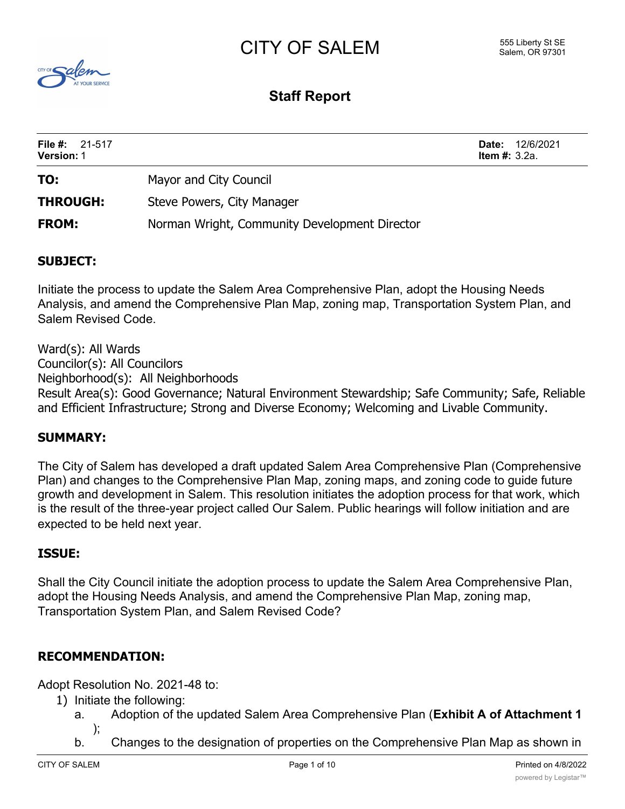# CITY OF SALEM



## **Staff Report**

| File #: $21-517$<br><b>Version: 1</b> |                                               | 12/6/2021<br>Date:<br><b>Item #:</b> $3.2a$ . |
|---------------------------------------|-----------------------------------------------|-----------------------------------------------|
| TO:                                   | Mayor and City Council                        |                                               |
| <b>THROUGH:</b>                       | Steve Powers, City Manager                    |                                               |
| <b>FROM:</b>                          | Norman Wright, Community Development Director |                                               |

## **SUBJECT:**

Initiate the process to update the Salem Area Comprehensive Plan, adopt the Housing Needs Analysis, and amend the Comprehensive Plan Map, zoning map, Transportation System Plan, and Salem Revised Code.

Ward(s): All Wards Councilor(s): All Councilors Neighborhood(s): All Neighborhoods Result Area(s): Good Governance; Natural Environment Stewardship; Safe Community; Safe, Reliable and Efficient Infrastructure; Strong and Diverse Economy; Welcoming and Livable Community.

## **SUMMARY:**

The City of Salem has developed a draft updated Salem Area Comprehensive Plan (Comprehensive Plan) and changes to the Comprehensive Plan Map, zoning maps, and zoning code to guide future growth and development in Salem. This resolution initiates the adoption process for that work, which is the result of the three-year project called Our Salem. Public hearings will follow initiation and are expected to be held next year.

## **ISSUE:**

Shall the City Council initiate the adoption process to update the Salem Area Comprehensive Plan, adopt the Housing Needs Analysis, and amend the Comprehensive Plan Map, zoning map, Transportation System Plan, and Salem Revised Code?

## **RECOMMENDATION:**

Adopt Resolution No. 2021-48 to:

- 1) Initiate the following:
	- a. Adoption of the updated Salem Area Comprehensive Plan (**Exhibit A of Attachment 1** );
	- b. Changes to the designation of properties on the Comprehensive Plan Map as shown in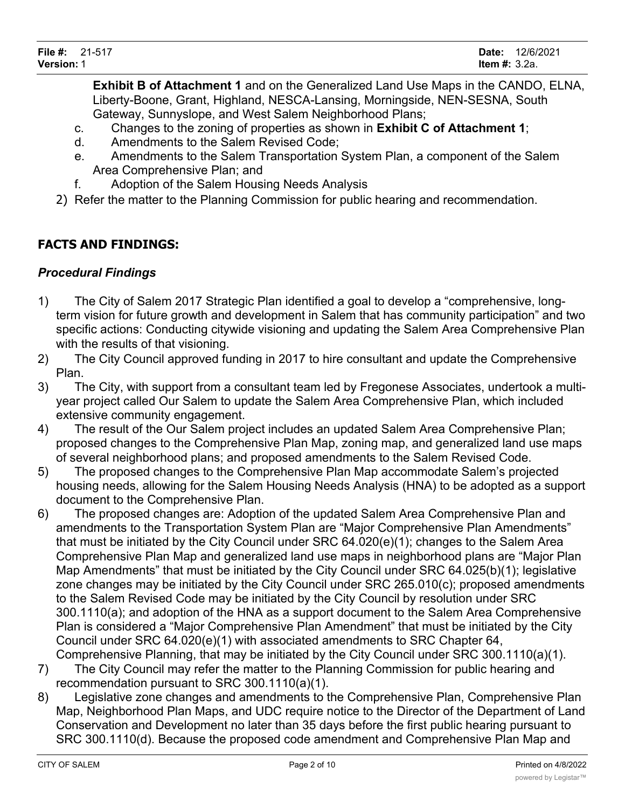**Exhibit B of Attachment 1** and on the Generalized Land Use Maps in the CANDO, ELNA, Liberty-Boone, Grant, Highland, NESCA-Lansing, Morningside, NEN-SESNA, South Gateway, Sunnyslope, and West Salem Neighborhood Plans;

- c. Changes to the zoning of properties as shown in **Exhibit C of Attachment 1**;
- d. Amendments to the Salem Revised Code;
- e. Amendments to the Salem Transportation System Plan, a component of the Salem Area Comprehensive Plan; and
- f. Adoption of the Salem Housing Needs Analysis
- 2) Refer the matter to the Planning Commission for public hearing and recommendation.

## **FACTS AND FINDINGS:**

## *Procedural Findings*

- 1) The City of Salem 2017 Strategic Plan identified a goal to develop a "comprehensive, longterm vision for future growth and development in Salem that has community participation" and two specific actions: Conducting citywide visioning and updating the Salem Area Comprehensive Plan with the results of that visioning.
- 2) The City Council approved funding in 2017 to hire consultant and update the Comprehensive Plan.
- 3) The City, with support from a consultant team led by Fregonese Associates, undertook a multiyear project called Our Salem to update the Salem Area Comprehensive Plan, which included extensive community engagement.
- 4) The result of the Our Salem project includes an updated Salem Area Comprehensive Plan; proposed changes to the Comprehensive Plan Map, zoning map, and generalized land use maps of several neighborhood plans; and proposed amendments to the Salem Revised Code.
- 5) The proposed changes to the Comprehensive Plan Map accommodate Salem's projected housing needs, allowing for the Salem Housing Needs Analysis (HNA) to be adopted as a support document to the Comprehensive Plan.
- 6) The proposed changes are: Adoption of the updated Salem Area Comprehensive Plan and amendments to the Transportation System Plan are "Major Comprehensive Plan Amendments" that must be initiated by the City Council under SRC 64.020(e)(1); changes to the Salem Area Comprehensive Plan Map and generalized land use maps in neighborhood plans are "Major Plan Map Amendments" that must be initiated by the City Council under SRC 64.025(b)(1); legislative zone changes may be initiated by the City Council under SRC 265.010(c); proposed amendments to the Salem Revised Code may be initiated by the City Council by resolution under SRC 300.1110(a); and adoption of the HNA as a support document to the Salem Area Comprehensive Plan is considered a "Major Comprehensive Plan Amendment" that must be initiated by the City Council under SRC 64.020(e)(1) with associated amendments to SRC Chapter 64, Comprehensive Planning, that may be initiated by the City Council under SRC 300.1110(a)(1).
- 7) The City Council may refer the matter to the Planning Commission for public hearing and recommendation pursuant to SRC 300.1110(a)(1).
- 8) Legislative zone changes and amendments to the Comprehensive Plan, Comprehensive Plan Map, Neighborhood Plan Maps, and UDC require notice to the Director of the Department of Land Conservation and Development no later than 35 days before the first public hearing pursuant to SRC 300.1110(d). Because the proposed code amendment and Comprehensive Plan Map and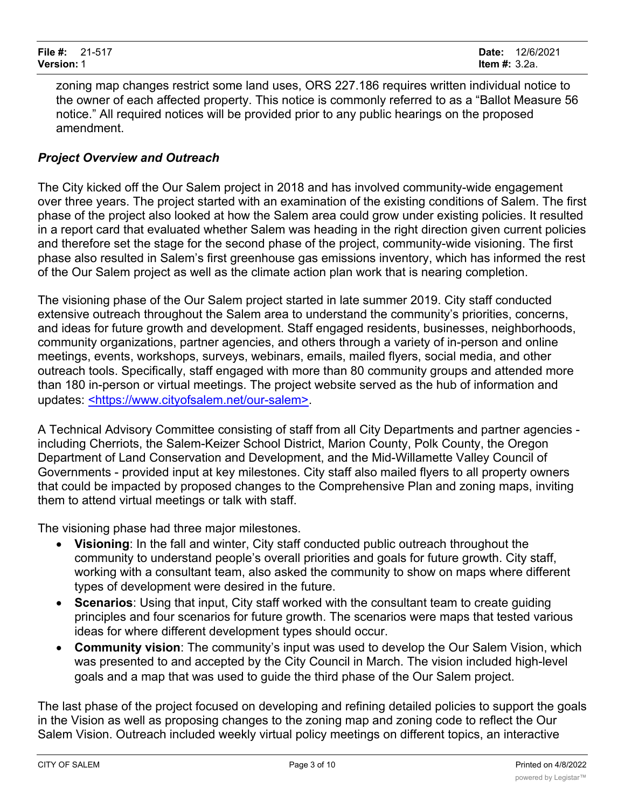zoning map changes restrict some land uses, ORS 227.186 requires written individual notice to the owner of each affected property. This notice is commonly referred to as a "Ballot Measure 56 notice." All required notices will be provided prior to any public hearings on the proposed amendment.

## *Project Overview and Outreach*

The City kicked off the Our Salem project in 2018 and has involved community-wide engagement over three years. The project started with an examination of the existing conditions of Salem. The first phase of the project also looked at how the Salem area could grow under existing policies. It resulted in a report card that evaluated whether Salem was heading in the right direction given current policies and therefore set the stage for the second phase of the project, community-wide visioning. The first phase also resulted in Salem's first greenhouse gas emissions inventory, which has informed the rest of the Our Salem project as well as the climate action plan work that is nearing completion.

The visioning phase of the Our Salem project started in late summer 2019. City staff conducted extensive outreach throughout the Salem area to understand the community's priorities, concerns, and ideas for future growth and development. Staff engaged residents, businesses, neighborhoods, community organizations, partner agencies, and others through a variety of in-person and online meetings, events, workshops, surveys, webinars, emails, mailed flyers, social media, and other outreach tools. Specifically, staff engaged with more than 80 community groups and attended more than 180 in-person or virtual meetings. The project website served as the hub of information and updates: <https://www.cityofsalem.net/our-salem>.

A Technical Advisory Committee consisting of staff from all City Departments and partner agencies including Cherriots, the Salem-Keizer School District, Marion County, Polk County, the Oregon Department of Land Conservation and Development, and the Mid-Willamette Valley Council of Governments - provided input at key milestones. City staff also mailed flyers to all property owners that could be impacted by proposed changes to the Comprehensive Plan and zoning maps, inviting them to attend virtual meetings or talk with staff.

The visioning phase had three major milestones.

- · **Visioning**: In the fall and winter, City staff conducted public outreach throughout the community to understand people's overall priorities and goals for future growth. City staff, working with a consultant team, also asked the community to show on maps where different types of development were desired in the future.
- · **Scenarios**: Using that input, City staff worked with the consultant team to create guiding principles and four scenarios for future growth. The scenarios were maps that tested various ideas for where different development types should occur.
- **Community vision:** The community's input was used to develop the Our Salem Vision, which was presented to and accepted by the City Council in March. The vision included high-level goals and a map that was used to guide the third phase of the Our Salem project.

The last phase of the project focused on developing and refining detailed policies to support the goals in the Vision as well as proposing changes to the zoning map and zoning code to reflect the Our Salem Vision. Outreach included weekly virtual policy meetings on different topics, an interactive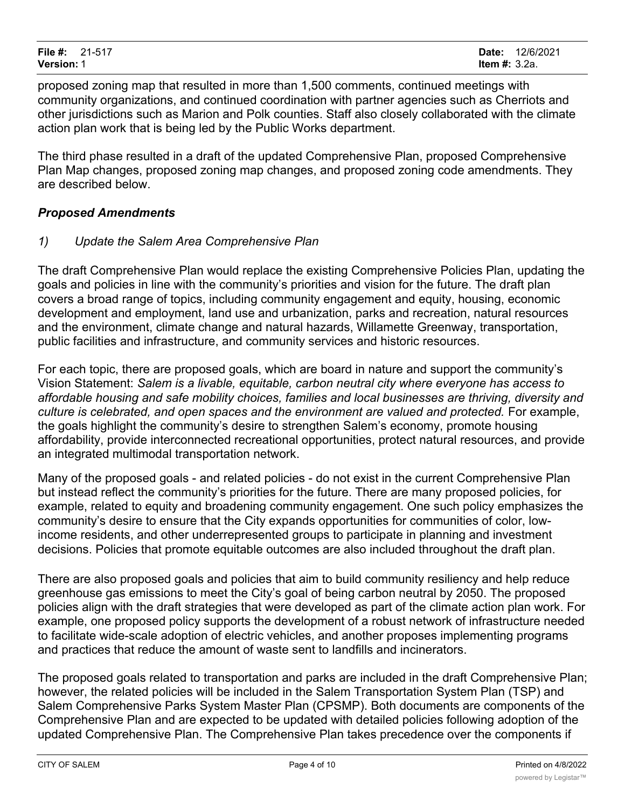proposed zoning map that resulted in more than 1,500 comments, continued meetings with community organizations, and continued coordination with partner agencies such as Cherriots and other jurisdictions such as Marion and Polk counties. Staff also closely collaborated with the climate action plan work that is being led by the Public Works department.

The third phase resulted in a draft of the updated Comprehensive Plan, proposed Comprehensive Plan Map changes, proposed zoning map changes, and proposed zoning code amendments. They are described below.

## *Proposed Amendments*

## *1) Update the Salem Area Comprehensive Plan*

The draft Comprehensive Plan would replace the existing Comprehensive Policies Plan, updating the goals and policies in line with the community's priorities and vision for the future. The draft plan covers a broad range of topics, including community engagement and equity, housing, economic development and employment, land use and urbanization, parks and recreation, natural resources and the environment, climate change and natural hazards, Willamette Greenway, transportation, public facilities and infrastructure, and community services and historic resources.

For each topic, there are proposed goals, which are board in nature and support the community's Vision Statement: *Salem is a livable, equitable, carbon neutral city where everyone has access to affordable housing and safe mobility choices, families and local businesses are thriving, diversity and culture is celebrated, and open spaces and the environment are valued and protected.* For example, the goals highlight the community's desire to strengthen Salem's economy, promote housing affordability, provide interconnected recreational opportunities, protect natural resources, and provide an integrated multimodal transportation network.

Many of the proposed goals - and related policies - do not exist in the current Comprehensive Plan but instead reflect the community's priorities for the future. There are many proposed policies, for example, related to equity and broadening community engagement. One such policy emphasizes the community's desire to ensure that the City expands opportunities for communities of color, lowincome residents, and other underrepresented groups to participate in planning and investment decisions. Policies that promote equitable outcomes are also included throughout the draft plan.

There are also proposed goals and policies that aim to build community resiliency and help reduce greenhouse gas emissions to meet the City's goal of being carbon neutral by 2050. The proposed policies align with the draft strategies that were developed as part of the climate action plan work. For example, one proposed policy supports the development of a robust network of infrastructure needed to facilitate wide-scale adoption of electric vehicles, and another proposes implementing programs and practices that reduce the amount of waste sent to landfills and incinerators.

The proposed goals related to transportation and parks are included in the draft Comprehensive Plan; however, the related policies will be included in the Salem Transportation System Plan (TSP) and Salem Comprehensive Parks System Master Plan (CPSMP). Both documents are components of the Comprehensive Plan and are expected to be updated with detailed policies following adoption of the updated Comprehensive Plan. The Comprehensive Plan takes precedence over the components if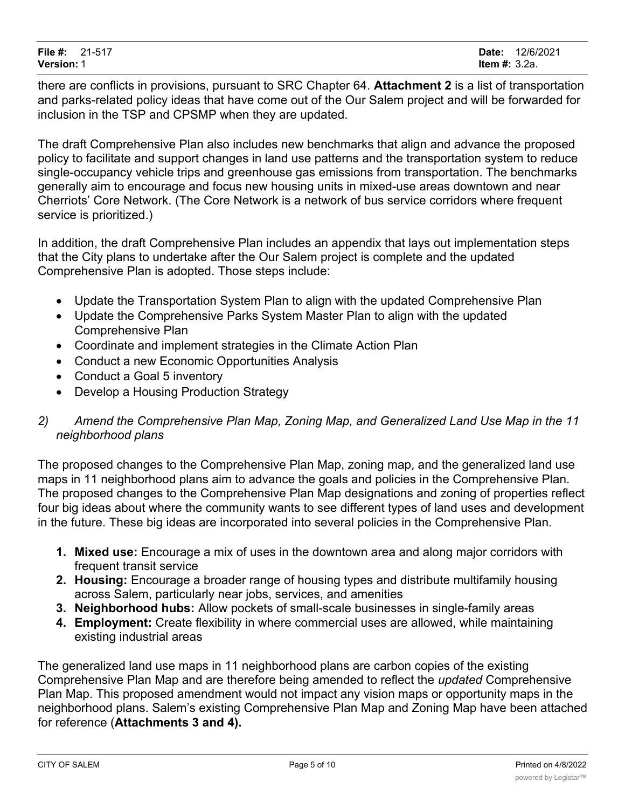there are conflicts in provisions, pursuant to SRC Chapter 64. **Attachment 2** is a list of transportation and parks-related policy ideas that have come out of the Our Salem project and will be forwarded for inclusion in the TSP and CPSMP when they are updated.

The draft Comprehensive Plan also includes new benchmarks that align and advance the proposed policy to facilitate and support changes in land use patterns and the transportation system to reduce single-occupancy vehicle trips and greenhouse gas emissions from transportation. The benchmarks generally aim to encourage and focus new housing units in mixed-use areas downtown and near Cherriots' Core Network. (The Core Network is a network of bus service corridors where frequent service is prioritized.)

In addition, the draft Comprehensive Plan includes an appendix that lays out implementation steps that the City plans to undertake after the Our Salem project is complete and the updated Comprehensive Plan is adopted. Those steps include:

- · Update the Transportation System Plan to align with the updated Comprehensive Plan
- · Update the Comprehensive Parks System Master Plan to align with the updated Comprehensive Plan
- · Coordinate and implement strategies in the Climate Action Plan
- · Conduct a new Economic Opportunities Analysis
- · Conduct a Goal 5 inventory
- Develop a Housing Production Strategy
- *2) Amend the Comprehensive Plan Map, Zoning Map, and Generalized Land Use Map in the 11 neighborhood plans*

The proposed changes to the Comprehensive Plan Map, zoning map, and the generalized land use maps in 11 neighborhood plans aim to advance the goals and policies in the Comprehensive Plan. The proposed changes to the Comprehensive Plan Map designations and zoning of properties reflect four big ideas about where the community wants to see different types of land uses and development in the future. These big ideas are incorporated into several policies in the Comprehensive Plan.

- **1. Mixed use:** Encourage a mix of uses in the downtown area and along major corridors with frequent transit service
- **2. Housing:** Encourage a broader range of housing types and distribute multifamily housing across Salem, particularly near jobs, services, and amenities
- **3. Neighborhood hubs:** Allow pockets of small-scale businesses in single-family areas
- **4. Employment:** Create flexibility in where commercial uses are allowed, while maintaining existing industrial areas

The generalized land use maps in 11 neighborhood plans are carbon copies of the existing Comprehensive Plan Map and are therefore being amended to reflect the *updated* Comprehensive Plan Map. This proposed amendment would not impact any vision maps or opportunity maps in the neighborhood plans. Salem's existing Comprehensive Plan Map and Zoning Map have been attached for reference (**Attachments 3 and 4).**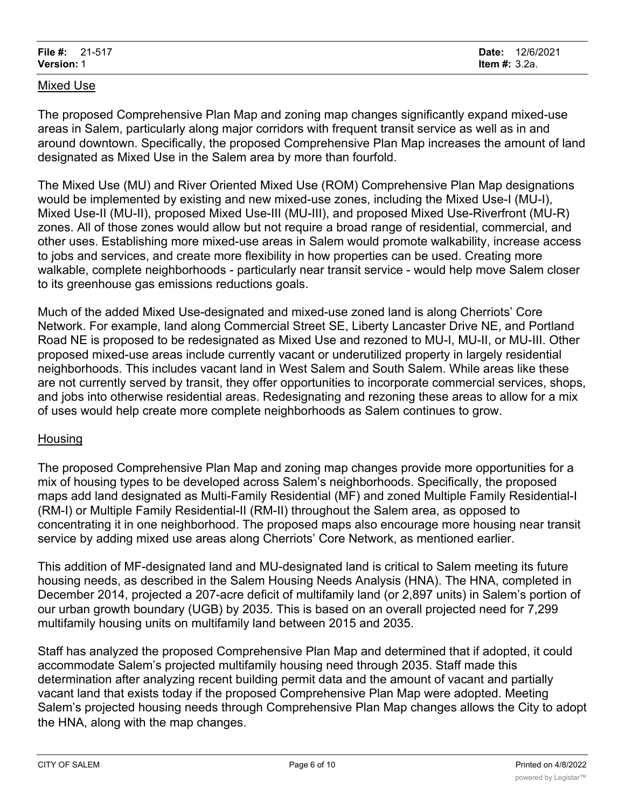#### Mixed Use

The proposed Comprehensive Plan Map and zoning map changes significantly expand mixed-use areas in Salem, particularly along major corridors with frequent transit service as well as in and around downtown. Specifically, the proposed Comprehensive Plan Map increases the amount of land designated as Mixed Use in the Salem area by more than fourfold.

The Mixed Use (MU) and River Oriented Mixed Use (ROM) Comprehensive Plan Map designations would be implemented by existing and new mixed-use zones, including the Mixed Use-I (MU-I), Mixed Use-II (MU-II), proposed Mixed Use-III (MU-III), and proposed Mixed Use-Riverfront (MU-R) zones. All of those zones would allow but not require a broad range of residential, commercial, and other uses. Establishing more mixed-use areas in Salem would promote walkability, increase access to jobs and services, and create more flexibility in how properties can be used. Creating more walkable, complete neighborhoods - particularly near transit service - would help move Salem closer to its greenhouse gas emissions reductions goals.

Much of the added Mixed Use-designated and mixed-use zoned land is along Cherriots' Core Network. For example, land along Commercial Street SE, Liberty Lancaster Drive NE, and Portland Road NE is proposed to be redesignated as Mixed Use and rezoned to MU-I, MU-II, or MU-III. Other proposed mixed-use areas include currently vacant or underutilized property in largely residential neighborhoods. This includes vacant land in West Salem and South Salem. While areas like these are not currently served by transit, they offer opportunities to incorporate commercial services, shops, and jobs into otherwise residential areas. Redesignating and rezoning these areas to allow for a mix of uses would help create more complete neighborhoods as Salem continues to grow.

#### **Housing**

The proposed Comprehensive Plan Map and zoning map changes provide more opportunities for a mix of housing types to be developed across Salem's neighborhoods. Specifically, the proposed maps add land designated as Multi-Family Residential (MF) and zoned Multiple Family Residential-I (RM-I) or Multiple Family Residential-II (RM-II) throughout the Salem area, as opposed to concentrating it in one neighborhood. The proposed maps also encourage more housing near transit service by adding mixed use areas along Cherriots' Core Network, as mentioned earlier.

This addition of MF-designated land and MU-designated land is critical to Salem meeting its future housing needs, as described in the Salem Housing Needs Analysis (HNA). The HNA, completed in December 2014, projected a 207-acre deficit of multifamily land (or 2,897 units) in Salem's portion of our urban growth boundary (UGB) by 2035. This is based on an overall projected need for 7,299 multifamily housing units on multifamily land between 2015 and 2035.

Staff has analyzed the proposed Comprehensive Plan Map and determined that if adopted, it could accommodate Salem's projected multifamily housing need through 2035. Staff made this determination after analyzing recent building permit data and the amount of vacant and partially vacant land that exists today if the proposed Comprehensive Plan Map were adopted. Meeting Salem's projected housing needs through Comprehensive Plan Map changes allows the City to adopt the HNA, along with the map changes.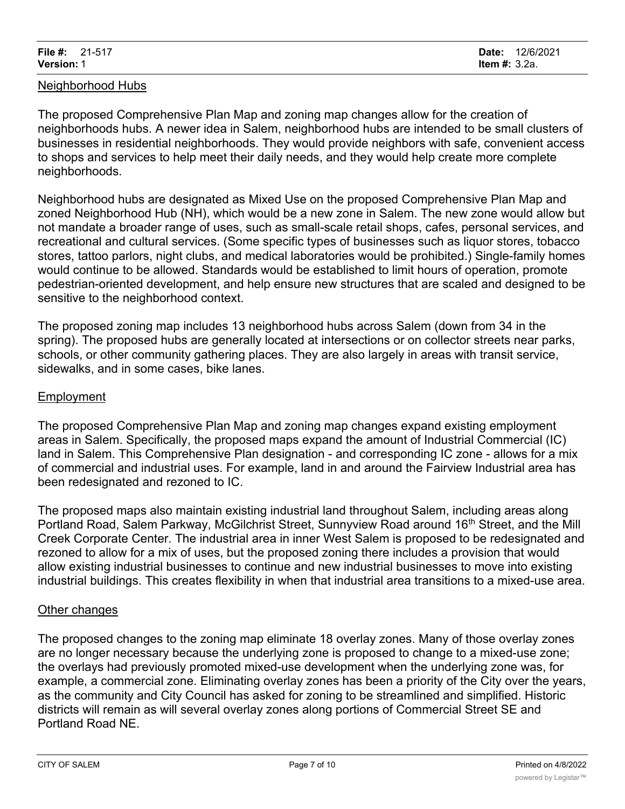#### Neighborhood Hubs

The proposed Comprehensive Plan Map and zoning map changes allow for the creation of neighborhoods hubs. A newer idea in Salem, neighborhood hubs are intended to be small clusters of businesses in residential neighborhoods. They would provide neighbors with safe, convenient access to shops and services to help meet their daily needs, and they would help create more complete neighborhoods.

Neighborhood hubs are designated as Mixed Use on the proposed Comprehensive Plan Map and zoned Neighborhood Hub (NH), which would be a new zone in Salem. The new zone would allow but not mandate a broader range of uses, such as small-scale retail shops, cafes, personal services, and recreational and cultural services. (Some specific types of businesses such as liquor stores, tobacco stores, tattoo parlors, night clubs, and medical laboratories would be prohibited.) Single-family homes would continue to be allowed. Standards would be established to limit hours of operation, promote pedestrian-oriented development, and help ensure new structures that are scaled and designed to be sensitive to the neighborhood context.

The proposed zoning map includes 13 neighborhood hubs across Salem (down from 34 in the spring). The proposed hubs are generally located at intersections or on collector streets near parks, schools, or other community gathering places. They are also largely in areas with transit service, sidewalks, and in some cases, bike lanes.

#### Employment

The proposed Comprehensive Plan Map and zoning map changes expand existing employment areas in Salem. Specifically, the proposed maps expand the amount of Industrial Commercial (IC) land in Salem. This Comprehensive Plan designation - and corresponding IC zone - allows for a mix of commercial and industrial uses. For example, land in and around the Fairview Industrial area has been redesignated and rezoned to IC.

The proposed maps also maintain existing industrial land throughout Salem, including areas along Portland Road, Salem Parkway, McGilchrist Street, Sunnyview Road around 16<sup>th</sup> Street, and the Mill Creek Corporate Center. The industrial area in inner West Salem is proposed to be redesignated and rezoned to allow for a mix of uses, but the proposed zoning there includes a provision that would allow existing industrial businesses to continue and new industrial businesses to move into existing industrial buildings. This creates flexibility in when that industrial area transitions to a mixed-use area.

#### **Other changes**

The proposed changes to the zoning map eliminate 18 overlay zones. Many of those overlay zones are no longer necessary because the underlying zone is proposed to change to a mixed-use zone; the overlays had previously promoted mixed-use development when the underlying zone was, for example, a commercial zone. Eliminating overlay zones has been a priority of the City over the years, as the community and City Council has asked for zoning to be streamlined and simplified. Historic districts will remain as will several overlay zones along portions of Commercial Street SE and Portland Road NE.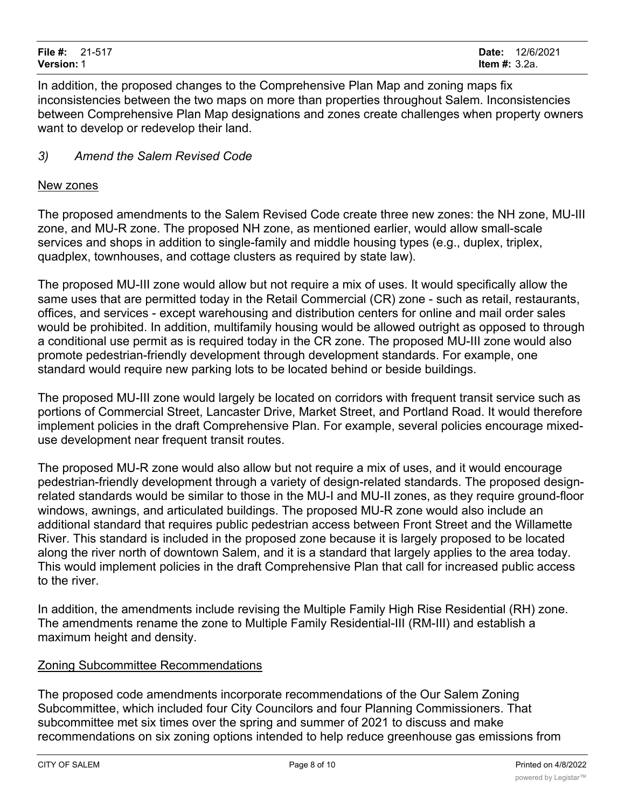In addition, the proposed changes to the Comprehensive Plan Map and zoning maps fix inconsistencies between the two maps on more than properties throughout Salem. Inconsistencies between Comprehensive Plan Map designations and zones create challenges when property owners want to develop or redevelop their land.

## *3) Amend the Salem Revised Code*

#### New zones

The proposed amendments to the Salem Revised Code create three new zones: the NH zone, MU-III zone, and MU-R zone. The proposed NH zone, as mentioned earlier, would allow small-scale services and shops in addition to single-family and middle housing types (e.g., duplex, triplex, quadplex, townhouses, and cottage clusters as required by state law).

The proposed MU-III zone would allow but not require a mix of uses. It would specifically allow the same uses that are permitted today in the Retail Commercial (CR) zone - such as retail, restaurants, offices, and services - except warehousing and distribution centers for online and mail order sales would be prohibited. In addition, multifamily housing would be allowed outright as opposed to through a conditional use permit as is required today in the CR zone. The proposed MU-III zone would also promote pedestrian-friendly development through development standards. For example, one standard would require new parking lots to be located behind or beside buildings.

The proposed MU-III zone would largely be located on corridors with frequent transit service such as portions of Commercial Street, Lancaster Drive, Market Street, and Portland Road. It would therefore implement policies in the draft Comprehensive Plan. For example, several policies encourage mixeduse development near frequent transit routes.

The proposed MU-R zone would also allow but not require a mix of uses, and it would encourage pedestrian-friendly development through a variety of design-related standards. The proposed designrelated standards would be similar to those in the MU-I and MU-II zones, as they require ground-floor windows, awnings, and articulated buildings. The proposed MU-R zone would also include an additional standard that requires public pedestrian access between Front Street and the Willamette River. This standard is included in the proposed zone because it is largely proposed to be located along the river north of downtown Salem, and it is a standard that largely applies to the area today. This would implement policies in the draft Comprehensive Plan that call for increased public access to the river.

In addition, the amendments include revising the Multiple Family High Rise Residential (RH) zone. The amendments rename the zone to Multiple Family Residential-III (RM-III) and establish a maximum height and density.

## Zoning Subcommittee Recommendations

The proposed code amendments incorporate recommendations of the Our Salem Zoning Subcommittee, which included four City Councilors and four Planning Commissioners. That subcommittee met six times over the spring and summer of 2021 to discuss and make recommendations on six zoning options intended to help reduce greenhouse gas emissions from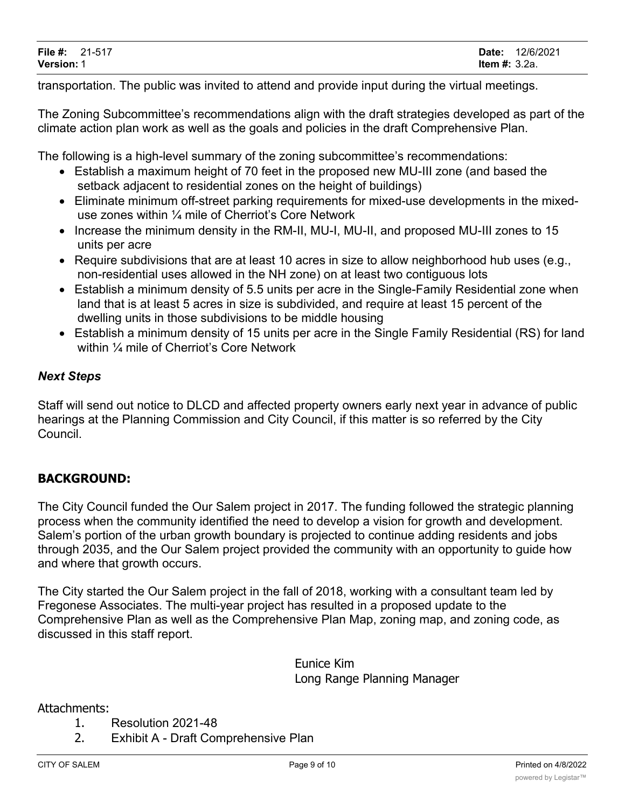transportation. The public was invited to attend and provide input during the virtual meetings.

The Zoning Subcommittee's recommendations align with the draft strategies developed as part of the climate action plan work as well as the goals and policies in the draft Comprehensive Plan.

The following is a high-level summary of the zoning subcommittee's recommendations:

- Establish a maximum height of 70 feet in the proposed new MU-III zone (and based the setback adjacent to residential zones on the height of buildings)
- · Eliminate minimum off-street parking requirements for mixed-use developments in the mixeduse zones within ¼ mile of Cherriot's Core Network
- Increase the minimum density in the RM-II, MU-I, MU-II, and proposed MU-III zones to 15 units per acre
- Require subdivisions that are at least 10 acres in size to allow neighborhood hub uses (e.g., non-residential uses allowed in the NH zone) on at least two contiguous lots
- Establish a minimum density of 5.5 units per acre in the Single-Family Residential zone when land that is at least 5 acres in size is subdivided, and require at least 15 percent of the dwelling units in those subdivisions to be middle housing
- Establish a minimum density of 15 units per acre in the Single Family Residential (RS) for land within ¼ mile of Cherriot's Core Network

## *Next Steps*

Staff will send out notice to DLCD and affected property owners early next year in advance of public hearings at the Planning Commission and City Council, if this matter is so referred by the City Council.

## **BACKGROUND:**

The City Council funded the Our Salem project in 2017. The funding followed the strategic planning process when the community identified the need to develop a vision for growth and development. Salem's portion of the urban growth boundary is projected to continue adding residents and jobs through 2035, and the Our Salem project provided the community with an opportunity to guide how and where that growth occurs.

The City started the Our Salem project in the fall of 2018, working with a consultant team led by Fregonese Associates. The multi-year project has resulted in a proposed update to the Comprehensive Plan as well as the Comprehensive Plan Map, zoning map, and zoning code, as discussed in this staff report.

> Eunice Kim Long Range Planning Manager

#### Attachments:

- 1. Resolution 2021-48
- 2. Exhibit A Draft Comprehensive Plan